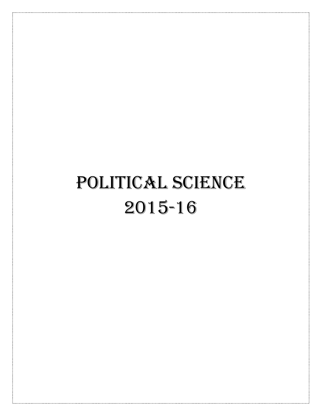# POLITICAL SCIENCE 2015-16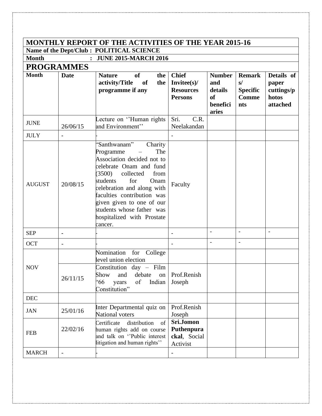## **MONTHLY REPORT OF THE ACTIVITIES OF THE YEAR 2015-16**

**Name of the Dept/Club : POLITICAL SCIENCE Month : JUNE 2015-MARCH 2016** 

### **PROGRAMMES**

| <b>Month</b>  | <b>Date</b>              | of<br><b>Nature</b><br>the<br>activity/Title<br>the<br>of<br>programme if any                                                                                                                                                                                                                                                 | <b>Chief</b><br>$Invitee(s)$ /<br><b>Resources</b><br><b>Persons</b> | <b>Number</b><br>and<br>details<br><b>of</b><br>benefici<br>aries | <b>Remark</b><br>s/<br><b>Specific</b><br><b>Comme</b><br>nts | Details of<br>paper<br>cuttings/p<br>hotos<br>attached |
|---------------|--------------------------|-------------------------------------------------------------------------------------------------------------------------------------------------------------------------------------------------------------------------------------------------------------------------------------------------------------------------------|----------------------------------------------------------------------|-------------------------------------------------------------------|---------------------------------------------------------------|--------------------------------------------------------|
| <b>JUNE</b>   | 26/06/15                 | Lecture on "Human rights<br>and Environment"                                                                                                                                                                                                                                                                                  | C.R.<br>Sri.<br>Neelakandan                                          |                                                                   |                                                               |                                                        |
| <b>JULY</b>   | ۰                        |                                                                                                                                                                                                                                                                                                                               |                                                                      |                                                                   |                                                               |                                                        |
| <b>AUGUST</b> | 20/08/15                 | 'Santhwanam"<br>Charity<br>Programme<br>The<br>Association decided not to<br>celebrate Onam and fund<br>(3500)<br>collected<br>from<br>for<br>students<br>Onam<br>celebration and along with<br>faculties contribution was<br>given given to one of our<br>students whose father was<br>hospitalized with Prostate<br>cancer. | Faculty                                                              |                                                                   |                                                               |                                                        |
| <b>SEP</b>    | ۰                        |                                                                                                                                                                                                                                                                                                                               |                                                                      | $\overline{\phantom{a}}$                                          | $\overline{\phantom{a}}$                                      | $\overline{\phantom{a}}$                               |
| <b>OCT</b>    | $\overline{\phantom{0}}$ |                                                                                                                                                                                                                                                                                                                               |                                                                      |                                                                   |                                                               |                                                        |
| <b>NOV</b>    | 26/11/15                 | Nomination for College<br>level union election<br>Constitution day - Film<br>and<br>debate<br>Show<br>on<br>66'<br>of<br>years<br>Indian<br>Constitution"                                                                                                                                                                     | Prof.Renish<br>Joseph                                                |                                                                   |                                                               |                                                        |
| <b>DEC</b>    |                          |                                                                                                                                                                                                                                                                                                                               |                                                                      |                                                                   |                                                               |                                                        |
| <b>JAN</b>    | 25/01/16                 | Inter Departmental quiz on<br>National voters                                                                                                                                                                                                                                                                                 | Prof.Renish<br>Joseph                                                |                                                                   |                                                               |                                                        |
| <b>FEB</b>    | 22/02/16                 | distribution<br>Certificate<br>of<br>human rights add on course<br>and talk on "Public interest<br>litigation and human rights"                                                                                                                                                                                               | Sri.Jomon<br>Puthenpura<br>ckal, Social<br>Activist                  |                                                                   |                                                               |                                                        |
| <b>MARCH</b>  |                          |                                                                                                                                                                                                                                                                                                                               |                                                                      |                                                                   |                                                               |                                                        |